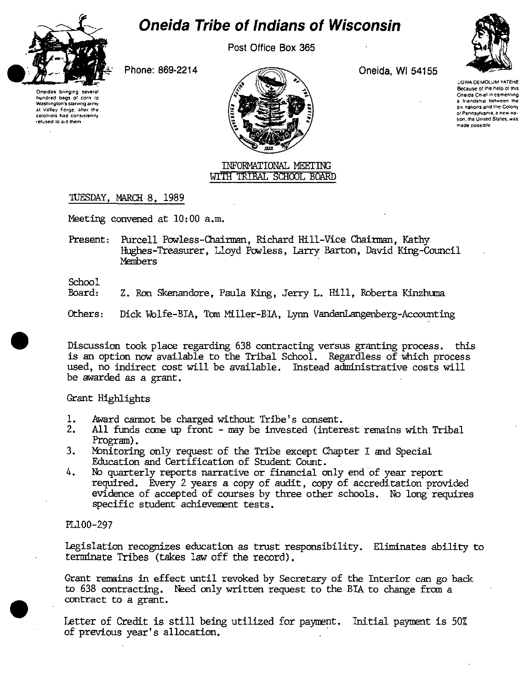

# **Oneida Tribe of Indians of Wisconsin**

Post Office Box 365

Phone: 869-2214

Oneidas bringing e os second hundred baos of corn to Washington's starving army at Valley Forge, after the colonists had consistently refused to aid them



Oneida, WI 54155



**LIGWA DEMOLUM YATEHE** Because of the help of this Oneida Chief in cementing a friendship between the six nations and the Colony of Pennsylvania, a new nation, the United States, was made nossible.

#### **INFORMATIONAL MEETING** WITH TRIBAL SCHOOL BOARD

## TUESDAY, MARCH 8, 1989

Meeting convened at 10:00 a.m.

Present: Purcell Powless-Chairman, Richard Hill-Vice Chairman, Kathy Hughes-Treasurer, Lloyd Powless, Larry Barton, David King-Council **Members** 

School

Board: Z. Ron Skenandore, Paula King, Jerry L. Hill, Roberta Kinzhuma

Others: Dick Wolfe-BIA, Tom Miller-BIA, Lynn VandenLangenberg-Accounting

Discussion took place regarding 638 contracting versus granting process. this is an option now available to the Tribal School. Regardless of which process used, no indirect cost will be available. Instead administrative costs will be awarded as a grant.

## Grant Highlights

- 1. Award cannot be charged without Tribe's consent.
- $2.$ All funds come up front - may be invested (interest remains with Tribal Program).
- $3.$ Monitoring only request of the Tribe except Chapter I and Special Education and Certification of Student Count.
- 4. No quarterly reports narrative or financial only end of year report required. Every 2 years a copy of audit, copy of accreditation provided evidence of accepted of courses by three other schools. No long requires specific student achievement tests.

## PL100-297

Legislation recognizes education as trust responsibility. Eliminates ability to terminate Tribes (takes law off the record).

Grant remains in effect until revoked by Secretary of the Interior can go back to 638 contracting. Need only written request to the BIA to change from a contract to a grant.

Letter of Credit is still being utilized for payment. Initial payment is 50% of previous year's allocation.